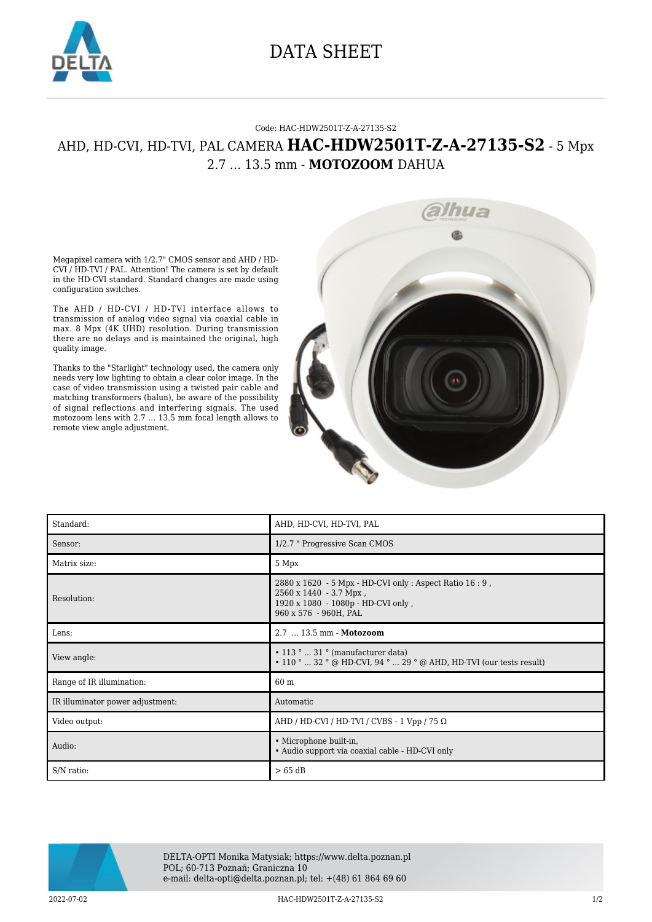

## DATA SHEET

## Code: HAC-HDW2501T-Z-A-27135-S2

## AHD, HD-CVI, HD-TVI, PAL CAMERA **HAC-HDW2501T-Z-A-27135-S2** - 5 Mpx 2.7 ... 13.5 mm - **MOTOZOOM** DAHUA

Megapixel camera with 1/2.7" CMOS sensor and AHD / HD-CVI / HD-TVI / PAL. Attention! The camera is set by default in the HD-CVI standard. Standard changes are made using configuration switches.

The AHD / HD-CVI / HD-TVI interface allows to transmission of analog video signal via coaxial cable in max. 8 Mpx (4K UHD) resolution. During transmission there are no delays and is maintained the original, high quality image.

Thanks to the "Starlight" technology used, the camera only needs very low lighting to obtain a clear color image. In the case of video transmission using a twisted pair cable and matching transformers (balun), be aware of the possibility of signal reflections and interfering signals. The used motozoom lens with 2.7 ... 13.5 mm focal length allows to remote view angle adjustment.



| Standard:                        | AHD, HD-CVI, HD-TVI, PAL                                                                                                                          |
|----------------------------------|---------------------------------------------------------------------------------------------------------------------------------------------------|
| Sensor:                          | 1/2.7 " Progressive Scan CMOS                                                                                                                     |
| Matrix size:                     | 5 Mpx                                                                                                                                             |
| Resolution:                      | 2880 x 1620 - 5 Mpx - HD-CVI only : Aspect Ratio 16 : 9,<br>2560 x 1440 - 3.7 Mpx,<br>1920 x 1080 - 1080p - HD-CVI only,<br>960 x 576 - 960H, PAL |
| Lens:                            | 2.7  13.5 mm - Motozoom                                                                                                                           |
| View angle:                      | $\cdot$ 113 °  31 ° (manufacturer data)<br>$\cdot$ 110 °  32 ° @ HD-CVI, 94 °  29 ° @ AHD, HD-TVI (our tests result)                              |
| Range of IR illumination:        | 60 m                                                                                                                                              |
| IR illuminator power adjustment: | Automatic                                                                                                                                         |
| Video output:                    | AHD / HD-CVI / HD-TVI / CVBS - 1 Vpp / 75 $\Omega$                                                                                                |
| Audio:                           | • Microphone built-in,<br>• Audio support via coaxial cable - HD-CVI only                                                                         |
| S/N ratio:                       | $>65$ dB                                                                                                                                          |



DELTA-OPTI Monika Matysiak; https://www.delta.poznan.pl POL; 60-713 Poznań; Graniczna 10 e-mail: delta-opti@delta.poznan.pl; tel: +(48) 61 864 69 60